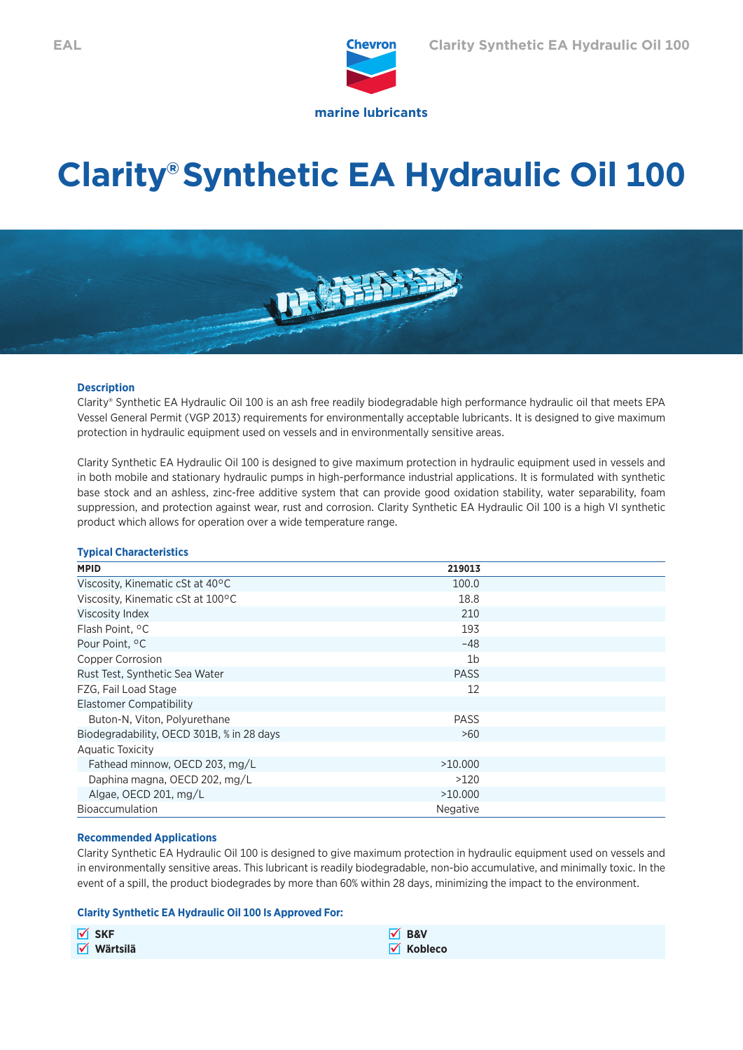

# **Clarity® Synthetic EA Hydraulic Oil 100**



# **Description**

Clarity® Synthetic EA Hydraulic Oil 100 is an ash free readily biodegradable high performance hydraulic oil that meets EPA Vessel General Permit (VGP 2013) requirements for environmentally acceptable lubricants. It is designed to give maximum protection in hydraulic equipment used on vessels and in environmentally sensitive areas.

Clarity Synthetic EA Hydraulic Oil 100 is designed to give maximum protection in hydraulic equipment used in vessels and in both mobile and stationary hydraulic pumps in high-performance industrial applications. It is formulated with synthetic base stock and an ashless, zinc-free additive system that can provide good oxidation stability, water separability, foam suppression, and protection against wear, rust and corrosion. Clarity Synthetic EA Hydraulic Oil 100 is a high VI synthetic product which allows for operation over a wide temperature range.

# **Typical Characteristics**

| <b>MPID</b>                               | 219013          |  |
|-------------------------------------------|-----------------|--|
| Viscosity, Kinematic cSt at 40°C          | 100.0           |  |
| Viscosity, Kinematic cSt at 100°C         | 18.8            |  |
| Viscosity Index                           | 210             |  |
| Flash Point, °C                           | 193             |  |
| Pour Point, <sup>o</sup> C                | $-48$           |  |
| Copper Corrosion                          | 1b              |  |
| Rust Test, Synthetic Sea Water            | <b>PASS</b>     |  |
| FZG, Fail Load Stage                      | 12              |  |
| Elastomer Compatibility                   |                 |  |
| Buton-N, Viton, Polyurethane              | <b>PASS</b>     |  |
| Biodegradability, OECD 301B, % in 28 days | >60             |  |
| <b>Aquatic Toxicity</b>                   |                 |  |
| Fathead minnow, OECD 203, mg/L            | >10,000         |  |
| Daphina magna, OECD 202, mg/L             | >120            |  |
| Algae, OECD 201, mg/L                     | >10,000         |  |
| <b>Bioaccumulation</b>                    | <b>Negative</b> |  |

### **Recommended Applications**

Clarity Synthetic EA Hydraulic Oil 100 is designed to give maximum protection in hydraulic equipment used on vessels and in environmentally sensitive areas. This lubricant is readily biodegradable, non-bio accumulative, and minimally toxic. In the event of a spill, the product biodegrades by more than 60% within 28 days, minimizing the impact to the environment.

### **Clarity Synthetic EA Hydraulic Oil 100 Is Approved For:**

| $\sqrt{\ }$ SKF               | $\sqrt{ }$ B&V               |
|-------------------------------|------------------------------|
| $\sqrt{\phantom{a}}$ Wärtsilä | $\sqrt{\phantom{a}}$ Kobleco |